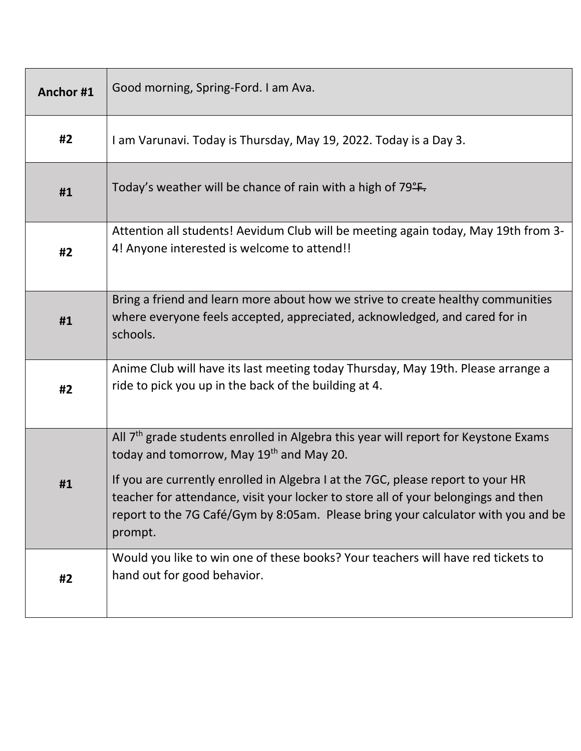| Anchor#1 | Good morning, Spring-Ford. I am Ava.                                                                                                                                                                                                                                  |
|----------|-----------------------------------------------------------------------------------------------------------------------------------------------------------------------------------------------------------------------------------------------------------------------|
| #2       | I am Varunavi. Today is Thursday, May 19, 2022. Today is a Day 3.                                                                                                                                                                                                     |
| #1       | Today's weather will be chance of rain with a high of 79 <sup>°</sup> F.                                                                                                                                                                                              |
| #2       | Attention all students! Aevidum Club will be meeting again today, May 19th from 3-<br>4! Anyone interested is welcome to attend!!                                                                                                                                     |
| #1       | Bring a friend and learn more about how we strive to create healthy communities<br>where everyone feels accepted, appreciated, acknowledged, and cared for in<br>schools.                                                                                             |
| #2       | Anime Club will have its last meeting today Thursday, May 19th. Please arrange a<br>ride to pick you up in the back of the building at 4.                                                                                                                             |
|          | All 7 <sup>th</sup> grade students enrolled in Algebra this year will report for Keystone Exams<br>today and tomorrow, May 19 <sup>th</sup> and May 20.                                                                                                               |
| #1       | If you are currently enrolled in Algebra I at the 7GC, please report to your HR<br>teacher for attendance, visit your locker to store all of your belongings and then<br>report to the 7G Café/Gym by 8:05am. Please bring your calculator with you and be<br>prompt. |
| #2       | Would you like to win one of these books? Your teachers will have red tickets to<br>hand out for good behavior.                                                                                                                                                       |